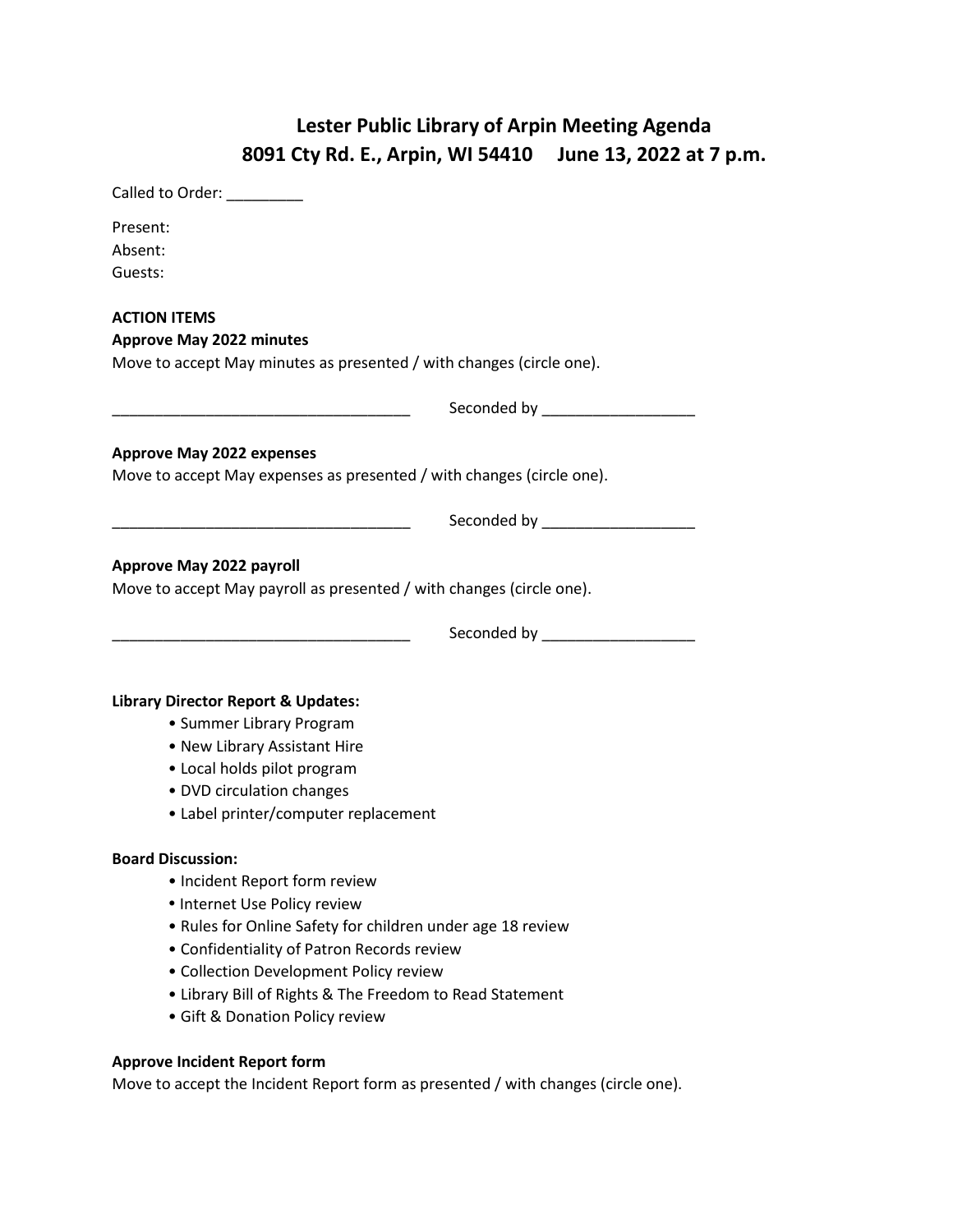## **Lester Public Library of Arpin Meeting Agenda 8091 Cty Rd. E., Arpin, WI 54410 June 13, 2022 at 7 p.m.**

| Called to Order: __________                                                                                                                                                                                                                                                                                                                    |                                |
|------------------------------------------------------------------------------------------------------------------------------------------------------------------------------------------------------------------------------------------------------------------------------------------------------------------------------------------------|--------------------------------|
| Present:<br>Absent:<br>Guests:                                                                                                                                                                                                                                                                                                                 |                                |
| <b>ACTION ITEMS</b><br><b>Approve May 2022 minutes</b>                                                                                                                                                                                                                                                                                         |                                |
| Move to accept May minutes as presented / with changes (circle one).                                                                                                                                                                                                                                                                           |                                |
|                                                                                                                                                                                                                                                                                                                                                |                                |
| <b>Approve May 2022 expenses</b><br>Move to accept May expenses as presented / with changes (circle one).                                                                                                                                                                                                                                      |                                |
|                                                                                                                                                                                                                                                                                                                                                | Seconded by __________________ |
| <b>Approve May 2022 payroll</b><br>Move to accept May payroll as presented / with changes (circle one).                                                                                                                                                                                                                                        | Seconded by __________________ |
| <b>Library Director Report &amp; Updates:</b><br>• Summer Library Program<br>• New Library Assistant Hire<br>• Local holds pilot program<br>• DVD circulation changes<br>• Label printer/computer replacement                                                                                                                                  |                                |
| <b>Board Discussion:</b><br>• Incident Report form review<br>• Internet Use Policy review<br>• Rules for Online Safety for children under age 18 review<br>• Confidentiality of Patron Records review<br>• Collection Development Policy review<br>• Library Bill of Rights & The Freedom to Read Statement<br>• Gift & Donation Policy review |                                |

## **Approve Incident Report form**

Move to accept the Incident Report form as presented / with changes (circle one).